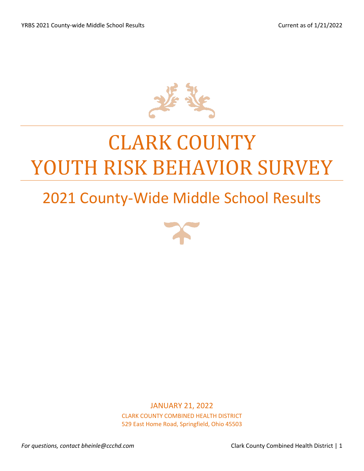

# CLARK COUNTY YOUTH RISK BEHAVIOR SURVEY

## 2021 County-Wide Middle School Results



JANUARY 21, 2022 CLARK COUNTY COMBINED HEALTH DISTRICT 529 East Home Road, Springfield, Ohio 45503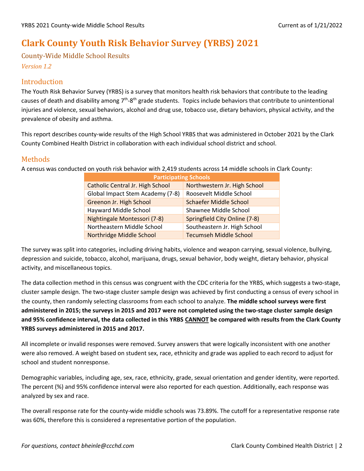## **Clark County Youth Risk Behavior Survey (YRBS) 2021**

County-Wide Middle School Results

*Version 1.2*

### Introduction

The Youth Risk Behavior Survey (YRBS) is a survey that monitors health risk behaviors that contribute to the leading causes of death and disability among  $7<sup>th</sup>$ -8<sup>th</sup> grade students. Topics include behaviors that contribute to unintentional injuries and violence, sexual behaviors, alcohol and drug use, tobacco use, dietary behaviors, physical activity, and the prevalence of obesity and asthma.

This report describes county-wide results of the High School YRBS that was administered in October 2021 by the Clark County Combined Health District in collaboration with each individual school district and school.

### Methods

A census was conducted on youth risk behavior with 2,419 students across 14 middle schools in Clark County:

| <b>Participating Schools</b>     |                               |  |  |  |  |  |
|----------------------------------|-------------------------------|--|--|--|--|--|
| Catholic Central Jr. High School | Northwestern Jr. High School  |  |  |  |  |  |
| Global Impact Stem Academy (7-8) | Roosevelt Middle School       |  |  |  |  |  |
| Greenon Jr. High School          | <b>Schaefer Middle School</b> |  |  |  |  |  |
| Hayward Middle School            | Shawnee Middle School         |  |  |  |  |  |
| Nightingale Montessori (7-8)     | Springfield City Online (7-8) |  |  |  |  |  |
| Northeastern Middle School       | Southeastern Jr. High School  |  |  |  |  |  |
| Northridge Middle School         | <b>Tecumseh Middle School</b> |  |  |  |  |  |

The survey was split into categories, including driving habits, violence and weapon carrying, sexual violence, bullying, depression and suicide, tobacco, alcohol, marijuana, drugs, sexual behavior, body weight, dietary behavior, physical activity, and miscellaneous topics.

The data collection method in this census was congruent with the CDC criteria for the YRBS, which suggests a two-stage, cluster sample design. The two-stage cluster sample design was achieved by first conducting a census of every school in the county, then randomly selecting classrooms from each school to analyze. **The middle school surveys were first administered in 2015; the surveys in 2015 and 2017 were not completed using the two-stage cluster sample design and 95% confidence interval, the data collected in this YRBS CANNOT be compared with results from the Clark County YRBS surveys administered in 2015 and 2017.**

All incomplete or invalid responses were removed. Survey answers that were logically inconsistent with one another were also removed. A weight based on student sex, race, ethnicity and grade was applied to each record to adjust for school and student nonresponse.

Demographic variables, including age, sex, race, ethnicity, grade, sexual orientation and gender identity, were reported. The percent (%) and 95% confidence interval were also reported for each question. Additionally, each response was analyzed by sex and race.

The overall response rate for the county-wide middle schools was 73.89%. The cutoff for a representative response rate was 60%, therefore this is considered a representative portion of the population.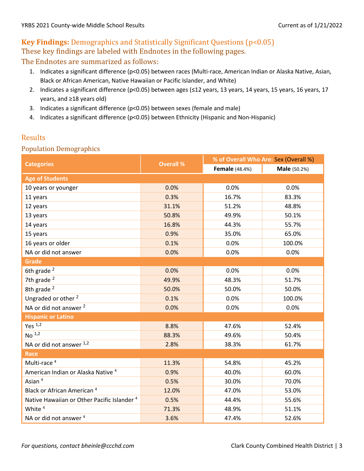## **Key Findings:** Demographics and Statistically Significant Questions (p<0.05) These key findings are labeled with Endnotes in the following pages. The Endnotes are summarized as follows:

- 1. Indicates a significant difference (p<0.05) between races (Multi-race, American Indian or Alaska Native, Asian, Black or African American, Native Hawaiian or Pacific Islander, and White)
- 2. Indicates a significant difference (p<0.05) between ages (≤12 years, 13 years, 14 years, 15 years, 16 years, 17 years, and ≥18 years old)
- 3. Indicates a significant difference (p<0.05) between sexes (female and male)
- 4. Indicates a significant difference (p<0.05) between Ethnicity (Hispanic and Non-Hispanic)

### Results

#### Population Demographics

|                                                        |                  | % of Overall Who Are: Sex (Overall %) |                     |  |
|--------------------------------------------------------|------------------|---------------------------------------|---------------------|--|
| <b>Categories</b>                                      | <b>Overall %</b> | <b>Female</b> (48.4%)                 | <b>Male</b> (50.2%) |  |
| <b>Age of Students</b>                                 |                  |                                       |                     |  |
| 10 years or younger                                    | 0.0%             | 0.0%                                  | 0.0%                |  |
| 11 years                                               | 0.3%             | 16.7%                                 | 83.3%               |  |
| 12 years                                               | 31.1%            | 51.2%                                 | 48.8%               |  |
| 13 years                                               | 50.8%            | 49.9%                                 | 50.1%               |  |
| 14 years                                               | 16.8%            | 44.3%                                 | 55.7%               |  |
| 15 years                                               | 0.9%             | 35.0%                                 | 65.0%               |  |
| 16 years or older                                      | 0.1%             | 0.0%                                  | 100.0%              |  |
| NA or did not answer                                   | 0.0%             | 0.0%                                  | 0.0%                |  |
| <b>Grade</b>                                           |                  |                                       |                     |  |
| 6th grade <sup>2</sup>                                 | 0.0%             | 0.0%                                  | 0.0%                |  |
| 7th grade $2$                                          | 49.9%            | 48.3%                                 | 51.7%               |  |
| 8th grade <sup>2</sup>                                 | 50.0%            | 50.0%                                 | 50.0%               |  |
| Ungraded or other <sup>2</sup>                         | 0.1%             | 0.0%                                  | 100.0%              |  |
| NA or did not answer <sup>2</sup>                      | 0.0%             | 0.0%                                  | 0.0%                |  |
| <b>Hispanic or Latino</b>                              |                  |                                       |                     |  |
| Yes $1,2$                                              | 8.8%             | 47.6%                                 | 52.4%               |  |
| No <sup>1,2</sup>                                      | 88.3%            | 49.6%                                 | 50.4%               |  |
| NA or did not answer 1,2                               | 2.8%             | 38.3%                                 | 61.7%               |  |
| <b>Race</b>                                            |                  |                                       |                     |  |
| Multi-race <sup>4</sup>                                | 11.3%            | 54.8%                                 | 45.2%               |  |
| American Indian or Alaska Native <sup>4</sup>          | 0.9%             | 40.0%                                 | 60.0%               |  |
| Asian <sup>4</sup>                                     | 0.5%             | 30.0%                                 | 70.0%               |  |
| Black or African American <sup>4</sup>                 | 12.0%            | 47.0%                                 | 53.0%               |  |
| Native Hawaiian or Other Pacific Islander <sup>4</sup> | 0.5%             | 44.4%                                 | 55.6%               |  |
| White $4$                                              | 71.3%            | 48.9%                                 | 51.1%               |  |
| NA or did not answer <sup>4</sup>                      | 3.6%             | 47.4%                                 | 52.6%               |  |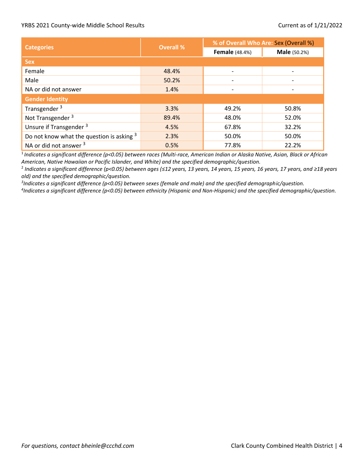|                                             |                  | % of Overall Who Are: Sex (Overall %) |                     |  |  |
|---------------------------------------------|------------------|---------------------------------------|---------------------|--|--|
| <b>Categories</b>                           | <b>Overall %</b> | <b>Female</b> (48.4%)                 | <b>Male</b> (50.2%) |  |  |
| <b>Sex</b>                                  |                  |                                       |                     |  |  |
| Female                                      | 48.4%            | $\blacksquare$                        | $\blacksquare$      |  |  |
| Male                                        | 50.2%            |                                       |                     |  |  |
| NA or did not answer                        | 1.4%             |                                       |                     |  |  |
| <b>Gender Identity</b>                      |                  |                                       |                     |  |  |
| Transgender <sup>3</sup>                    | 3.3%             | 49.2%                                 | 50.8%               |  |  |
| Not Transgender <sup>3</sup>                | 89.4%            | 48.0%                                 | 52.0%               |  |  |
| Unsure if Transgender <sup>3</sup>          | 4.5%             | 67.8%                                 | 32.2%               |  |  |
| Do not know what the question is asking $3$ | 2.3%             | 50.0%                                 | 50.0%               |  |  |
| NA or did not answer <sup>3</sup>           | 0.5%             | 77.8%                                 | 22.2%               |  |  |

<sup>1</sup>*Indicates a significant difference (p<0.05) between races (Multi-race, American Indian or Alaska Native, Asian, Black or African American, Native Hawaiian or Pacific Islander, and White) and the specified demographic/question.*

2 *Indicates a significant difference (p<0.05) between ages (≤12 years, 13 years, 14 years, 15 years, 16 years, 17 years, and ≥18 years old) and the specified demographic/question.* 

*3 Indicates a significant difference (p<0.05) between sexes (female and male) and the specified demographic/question.*

*4 Indicates a significant difference (p<0.05) between ethnicity (Hispanic and Non-Hispanic) and the specified demographic/question.*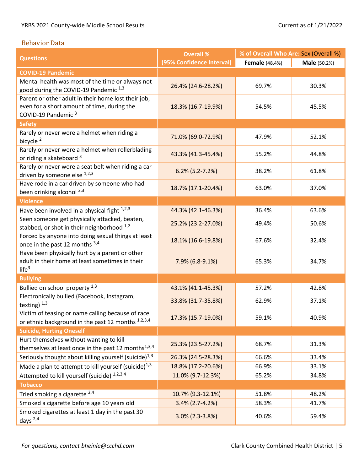#### Behavior Data

|                                                                                                                                      | <b>Overall %</b>          | % of Overall Who Are: Sex (Overall %) |                     |  |
|--------------------------------------------------------------------------------------------------------------------------------------|---------------------------|---------------------------------------|---------------------|--|
| <b>Questions</b>                                                                                                                     | (95% Confidence Interval) | <b>Female</b> (48.4%)                 | <b>Male</b> (50.2%) |  |
| <b>COVID-19 Pandemic</b>                                                                                                             |                           |                                       |                     |  |
| Mental health was most of the time or always not<br>good during the COVID-19 Pandemic 1,3                                            | 26.4% (24.6-28.2%)        | 69.7%                                 | 30.3%               |  |
| Parent or other adult in their home lost their job,<br>even for a short amount of time, during the<br>COVID-19 Pandemic <sup>3</sup> | 18.3% (16.7-19.9%)        | 54.5%                                 | 45.5%               |  |
| <b>Safety</b>                                                                                                                        |                           |                                       |                     |  |
| Rarely or never wore a helmet when riding a<br>bicycle <sup>2</sup>                                                                  | 71.0% (69.0-72.9%)        | 47.9%                                 | 52.1%               |  |
| Rarely or never wore a helmet when rollerblading<br>or riding a skateboard 3                                                         | 43.3% (41.3-45.4%)        | 55.2%                                 | 44.8%               |  |
| Rarely or never wore a seat belt when riding a car<br>driven by someone else 1,2,3                                                   | $6.2\%$ (5.2-7.2%)        | 38.2%                                 | 61.8%               |  |
| Have rode in a car driven by someone who had<br>been drinking alcohol <sup>2,3</sup>                                                 | 18.7% (17.1-20.4%)        | 63.0%                                 | 37.0%               |  |
| <b>Violence</b>                                                                                                                      |                           |                                       |                     |  |
| Have been involved in a physical fight $1,2,3$                                                                                       | 44.3% (42.1-46.3%)        | 36.4%                                 | 63.6%               |  |
| Seen someone get physically attacked, beaten,<br>stabbed, or shot in their neighborhood 1,2                                          | 25.2% (23.2-27.0%)        | 49.4%                                 | 50.6%               |  |
| Forced by anyone into doing sexual things at least<br>once in the past 12 months 3,4                                                 | 18.1% (16.6-19.8%)        | 67.6%                                 | 32.4%               |  |
| Have been physically hurt by a parent or other<br>adult in their home at least sometimes in their<br>life <sup>3</sup>               | 7.9% (6.8-9.1%)           | 65.3%                                 | 34.7%               |  |
| <b>Bullying</b>                                                                                                                      |                           |                                       |                     |  |
| Bullied on school property 1,3                                                                                                       | 43.1% (41.1-45.3%)        | 57.2%                                 | 42.8%               |  |
| Electronically bullied (Facebook, Instagram,<br>texting) $1,3$                                                                       | 33.8% (31.7-35.8%)        | 62.9%                                 | 37.1%               |  |
| Victim of teasing or name calling because of race<br>or ethnic background in the past 12 months 1,2,3,4                              | 17.3% (15.7-19.0%)        | 59.1%                                 | 40.9%               |  |
| <b>Suicide, Hurting Oneself</b>                                                                                                      |                           |                                       |                     |  |
| Hurt themselves without wanting to kill<br>themselves at least once in the past 12 months <sup>1,3,4</sup>                           | 25.3% (23.5-27.2%)        | 68.7%                                 | 31.3%               |  |
| Seriously thought about killing yourself (suicide) $^{1,3}$                                                                          | 26.3% (24.5-28.3%)        | 66.6%                                 | 33.4%               |  |
| Made a plan to attempt to kill yourself (suicide) $^{1,3}$                                                                           | 18.8% (17.2-20.6%)        | 66.9%                                 | 33.1%               |  |
| Attempted to kill yourself (suicide) 1,2,3,4                                                                                         | 11.0% (9.7-12.3%)         | 65.2%                                 | 34.8%               |  |
| <b>Tobacco</b>                                                                                                                       |                           |                                       |                     |  |
| Tried smoking a cigarette 2,4                                                                                                        | 10.7% (9.3-12.1%)         | 51.8%                                 | 48.2%               |  |
| Smoked a cigarette before age 10 years old                                                                                           | $3.4\%$ (2.7-4.2%)        | 58.3%                                 | 41.7%               |  |
| Smoked cigarettes at least 1 day in the past 30<br>days $^{2,4}$                                                                     | $3.0\%$ (2.3-3.8%)        | 40.6%                                 | 59.4%               |  |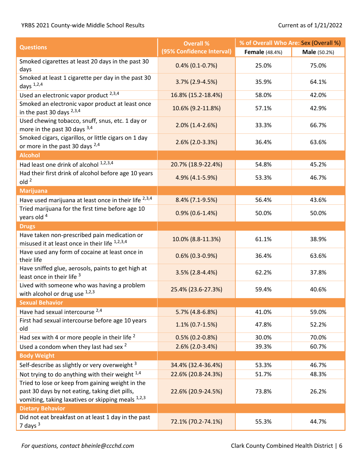| <b>Overall %</b><br><b>Questions</b>                                                                                                                     |                           | % of Overall Who Are: Sex (Overall %) |                     |  |  |
|----------------------------------------------------------------------------------------------------------------------------------------------------------|---------------------------|---------------------------------------|---------------------|--|--|
|                                                                                                                                                          | (95% Confidence Interval) | <b>Female</b> (48.4%)                 | <b>Male</b> (50.2%) |  |  |
| Smoked cigarettes at least 20 days in the past 30<br>days                                                                                                | $0.4\%$ (0.1-0.7%)        | 25.0%                                 | 75.0%               |  |  |
| Smoked at least 1 cigarette per day in the past 30<br>days $1,2,4$                                                                                       | 3.7% (2.9-4.5%)           | 35.9%                                 | 64.1%               |  |  |
| Used an electronic vapor product 2,3,4                                                                                                                   | 16.8% (15.2-18.4%)        | 58.0%                                 | 42.0%               |  |  |
| Smoked an electronic vapor product at least once<br>in the past 30 days $^{2,3,4}$                                                                       | 10.6% (9.2-11.8%)         | 57.1%                                 | 42.9%               |  |  |
| Used chewing tobacco, snuff, snus, etc. 1 day or<br>more in the past 30 days 3,4                                                                         | $2.0\%$ (1.4-2.6%)        | 33.3%                                 | 66.7%               |  |  |
| Smoked cigars, cigarillos, or little cigars on 1 day<br>or more in the past 30 days <sup>2,4</sup>                                                       | $2.6\%$ (2.0-3.3%)        | 36.4%                                 | 63.6%               |  |  |
| <b>Alcohol</b>                                                                                                                                           |                           |                                       |                     |  |  |
| Had least one drink of alcohol 1,2,3,4                                                                                                                   | 20.7% (18.9-22.4%)        | 54.8%                                 | 45.2%               |  |  |
| Had their first drink of alcohol before age 10 years<br>old <sup>2</sup>                                                                                 | 4.9% (4.1-5.9%)           | 53.3%                                 | 46.7%               |  |  |
| <b>Marijuana</b>                                                                                                                                         |                           |                                       |                     |  |  |
| Have used marijuana at least once in their life 2,3,4                                                                                                    | 8.4% (7.1-9.5%)           | 56.4%                                 | 43.6%               |  |  |
| Tried marijuana for the first time before age 10<br>years old <sup>4</sup>                                                                               | $0.9\%$ (0.6-1.4%)        | 50.0%                                 | 50.0%               |  |  |
| <b>Drugs</b>                                                                                                                                             |                           |                                       |                     |  |  |
| Have taken non-prescribed pain medication or<br>misused it at least once in their life 1,2,3,4                                                           | 10.0% (8.8-11.3%)         | 61.1%                                 | 38.9%               |  |  |
| Have used any form of cocaine at least once in<br>their life                                                                                             | $0.6\%$ (0.3-0.9%)        | 36.4%                                 | 63.6%               |  |  |
| Have sniffed glue, aerosols, paints to get high at<br>least once in their life 3                                                                         | $3.5\%$ (2.8-4.4%)        | 62.2%                                 | 37.8%               |  |  |
| Lived with someone who was having a problem<br>with alcohol or drug use $1,2,3$                                                                          | 25.4% (23.6-27.3%)        | 59.4%                                 | 40.6%               |  |  |
| <b>Sexual Behavior</b>                                                                                                                                   |                           |                                       |                     |  |  |
| Have had sexual intercourse 2,4                                                                                                                          | 5.7% (4.8-6.8%)           | 41.0%                                 | 59.0%               |  |  |
| First had sexual intercourse before age 10 years<br>old                                                                                                  | $1.1\%$ (0.7-1.5%)        | 47.8%                                 | 52.2%               |  |  |
| Had sex with 4 or more people in their life $2$                                                                                                          | $0.5\%$ (0.2-0.8%)        | 30.0%                                 | 70.0%               |  |  |
| Used a condom when they last had sex <sup>2</sup>                                                                                                        | $2.6\%$ (2.0-3.4%)        | 39.3%                                 | 60.7%               |  |  |
| <b>Body Weight</b>                                                                                                                                       |                           |                                       |                     |  |  |
| Self-describe as slightly or very overweight 3                                                                                                           | 34.4% (32.4-36.4%)        | 53.3%                                 | 46.7%               |  |  |
| Not trying to do anything with their weight $^{1,4}$                                                                                                     | 22.6% (20.8-24.3%)        | 51.7%                                 | 48.3%               |  |  |
| Tried to lose or keep from gaining weight in the<br>past 30 days by not eating, taking diet pills,<br>vomiting, taking laxatives or skipping meals 1,2,3 | 22.6% (20.9-24.5%)        | 73.8%                                 | 26.2%               |  |  |
| <b>Dietary Behavior</b>                                                                                                                                  |                           |                                       |                     |  |  |
| Did not eat breakfast on at least 1 day in the past<br>7 days $3$                                                                                        | 72.1% (70.2-74.1%)        | 55.3%                                 | 44.7%               |  |  |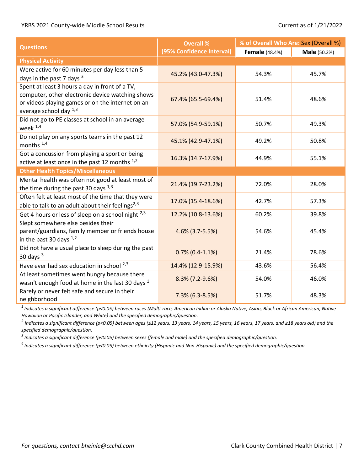|                                                                                                                                                                                  | <b>Overall %</b>          | % of Overall Who Are: Sex (Overall %) |                     |  |
|----------------------------------------------------------------------------------------------------------------------------------------------------------------------------------|---------------------------|---------------------------------------|---------------------|--|
| <b>Questions</b>                                                                                                                                                                 | (95% Confidence Interval) | <b>Female</b> (48.4%)                 | <b>Male</b> (50.2%) |  |
| <b>Physical Activity</b>                                                                                                                                                         |                           |                                       |                     |  |
| Were active for 60 minutes per day less than 5<br>days in the past 7 days <sup>3</sup>                                                                                           | 45.2% (43.0-47.3%)        | 54.3%                                 | 45.7%               |  |
| Spent at least 3 hours a day in front of a TV,<br>computer, other electronic device watching shows<br>or videos playing games or on the internet on an<br>average school day 1,3 | 67.4% (65.5-69.4%)        | 51.4%                                 | 48.6%               |  |
| Did not go to PE classes at school in an average<br>week $1,4$                                                                                                                   | 57.0% (54.9-59.1%)        | 50.7%                                 | 49.3%               |  |
| Do not play on any sports teams in the past 12<br>months $^{1,4}$                                                                                                                | 45.1% (42.9-47.1%)        | 49.2%                                 | 50.8%               |  |
| Got a concussion from playing a sport or being<br>active at least once in the past 12 months 1,2                                                                                 | 16.3% (14.7-17.9%)        | 44.9%                                 | 55.1%               |  |
| <b>Other Health Topics/Miscellaneous</b>                                                                                                                                         |                           |                                       |                     |  |
| Mental health was often not good at least most of<br>the time during the past 30 days 1,3                                                                                        | 21.4% (19.7-23.2%)        | 72.0%                                 | 28.0%               |  |
| Often felt at least most of the time that they were<br>able to talk to an adult about their feelings <sup>2,3</sup>                                                              | 17.0% (15.4-18.6%)        | 42.7%                                 | 57.3%               |  |
| Get 4 hours or less of sleep on a school night <sup>2,3</sup>                                                                                                                    | 12.2% (10.8-13.6%)        | 60.2%                                 | 39.8%               |  |
| Slept somewhere else besides their<br>parent/guardians, family member or friends house<br>in the past 30 days $1,2$                                                              | 4.6% (3.7-5.5%)           | 54.6%                                 | 45.4%               |  |
| Did not have a usual place to sleep during the past<br>30 days $3$                                                                                                               | $0.7\%$ (0.4-1.1%)        | 21.4%                                 | 78.6%               |  |
| Have ever had sex education in school 2,3                                                                                                                                        | 14.4% (12.9-15.9%)        | 43.6%                                 | 56.4%               |  |
| At least sometimes went hungry because there<br>wasn't enough food at home in the last 30 days <sup>1</sup>                                                                      | $8.3\%$ (7.2-9.6%)        | 54.0%                                 | 46.0%               |  |
| Rarely or never felt safe and secure in their<br>neighborhood                                                                                                                    | $7.3\%$ (6.3-8.5%)        | 51.7%                                 | 48.3%               |  |

*1 Indicates a significant difference (p<0.05) between races (Multi-race, American Indian or Alaska Native, Asian, Black or African American, Native Hawaiian or Pacific Islander, and White) and the specified demographic/question.*

*2 Indicates a significant difference (p<0.05) between ages (≤12 years, 13 years, 14 years, 15 years, 16 years, 17 years, and ≥18 years old) and the specified demographic/question.* 

*<sup>3</sup>Indicates a significant difference (p<0.05) between sexes (female and male) and the specified demographic/question.*

*<sup>4</sup>Indicates a significant difference (p<0.05) between ethnicity (Hispanic and Non-Hispanic) and the specified demographic/question.*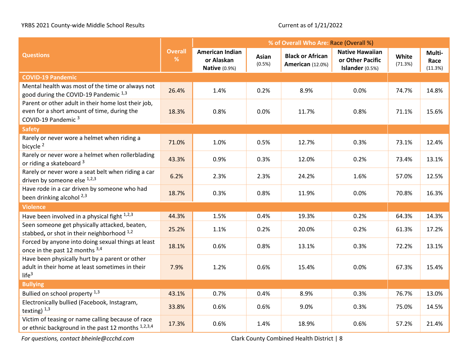|                                                                                                                                      |                     | % of Overall Who Are: Race (Overall %)                       |                 |                                                    |                                                               |                  |                           |
|--------------------------------------------------------------------------------------------------------------------------------------|---------------------|--------------------------------------------------------------|-----------------|----------------------------------------------------|---------------------------------------------------------------|------------------|---------------------------|
| <b>Questions</b>                                                                                                                     | <b>Overall</b><br>% | <b>American Indian</b><br>or Alaskan<br><b>Native (0.9%)</b> | Asian<br>(0.5%) | <b>Black or African</b><br><b>American</b> (12.0%) | <b>Native Hawaiian</b><br>or Other Pacific<br>Islander (0.5%) | White<br>(71.3%) | Multi-<br>Race<br>(11.3%) |
| <b>COVID-19 Pandemic</b>                                                                                                             |                     |                                                              |                 |                                                    |                                                               |                  |                           |
| Mental health was most of the time or always not<br>good during the COVID-19 Pandemic 1,3                                            | 26.4%               | 1.4%                                                         | 0.2%            | 8.9%                                               | 0.0%                                                          | 74.7%            | 14.8%                     |
| Parent or other adult in their home lost their job,<br>even for a short amount of time, during the<br>COVID-19 Pandemic <sup>3</sup> | 18.3%               | 0.8%                                                         | 0.0%            | 11.7%                                              | 0.8%                                                          | 71.1%            | 15.6%                     |
| <b>Safety</b>                                                                                                                        |                     |                                                              |                 |                                                    |                                                               |                  |                           |
| Rarely or never wore a helmet when riding a<br>bicycle <sup>2</sup>                                                                  | 71.0%               | 1.0%                                                         | 0.5%            | 12.7%                                              | 0.3%                                                          | 73.1%            | 12.4%                     |
| Rarely or never wore a helmet when rollerblading<br>or riding a skateboard 3                                                         | 43.3%               | 0.9%                                                         | 0.3%            | 12.0%                                              | 0.2%                                                          | 73.4%            | 13.1%                     |
| Rarely or never wore a seat belt when riding a car<br>driven by someone else 1,2,3                                                   | 6.2%                | 2.3%                                                         | 2.3%            | 24.2%                                              | 1.6%                                                          | 57.0%            | 12.5%                     |
| Have rode in a car driven by someone who had<br>been drinking alcohol <sup>2,3</sup>                                                 | 18.7%               | 0.3%                                                         | 0.8%            | 11.9%                                              | 0.0%                                                          | 70.8%            | 16.3%                     |
| <b>Violence</b>                                                                                                                      |                     |                                                              |                 |                                                    |                                                               |                  |                           |
| Have been involved in a physical fight $1,2,3$                                                                                       | 44.3%               | 1.5%                                                         | 0.4%            | 19.3%                                              | 0.2%                                                          | 64.3%            | 14.3%                     |
| Seen someone get physically attacked, beaten,<br>stabbed, or shot in their neighborhood 1,2                                          | 25.2%               | 1.1%                                                         | 0.2%            | 20.0%                                              | 0.2%                                                          | 61.3%            | 17.2%                     |
| Forced by anyone into doing sexual things at least<br>once in the past 12 months 3,4                                                 | 18.1%               | 0.6%                                                         | 0.8%            | 13.1%                                              | 0.3%                                                          | 72.2%            | 13.1%                     |
| Have been physically hurt by a parent or other<br>adult in their home at least sometimes in their<br>life <sup>3</sup>               | 7.9%                | 1.2%                                                         | 0.6%            | 15.4%                                              | 0.0%                                                          | 67.3%            | 15.4%                     |
| <b>Bullying</b>                                                                                                                      |                     |                                                              |                 |                                                    |                                                               |                  |                           |
| Bullied on school property 1,3                                                                                                       | 43.1%               | 0.7%                                                         | 0.4%            | 8.9%                                               | 0.3%                                                          | 76.7%            | 13.0%                     |
| Electronically bullied (Facebook, Instagram,<br>texting) $1,3$                                                                       | 33.8%               | 0.6%                                                         | 0.6%            | 9.0%                                               | 0.3%                                                          | 75.0%            | 14.5%                     |
| Victim of teasing or name calling because of race<br>or ethnic background in the past 12 months 1,2,3,4                              | 17.3%               | 0.6%                                                         | 1.4%            | 18.9%                                              | 0.6%                                                          | 57.2%            | 21.4%                     |

*For questions, contact bheinle@ccchd.com* Clark County Combined Health District | 8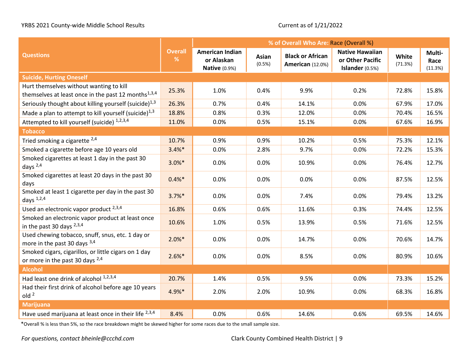|                                                                                                            |                        | % of Overall Who Are: Race (Overall %)                |                 |                                                    |                                                               |                  |                           |
|------------------------------------------------------------------------------------------------------------|------------------------|-------------------------------------------------------|-----------------|----------------------------------------------------|---------------------------------------------------------------|------------------|---------------------------|
| <b>Questions</b>                                                                                           | <b>Overall</b><br>$\%$ | American Indian<br>or Alaskan<br><b>Native (0.9%)</b> | Asian<br>(0.5%) | <b>Black or African</b><br><b>American</b> (12.0%) | <b>Native Hawaiian</b><br>or Other Pacific<br>Islander (0.5%) | White<br>(71.3%) | Multi-<br>Race<br>(11.3%) |
| <b>Suicide, Hurting Oneself</b>                                                                            |                        |                                                       |                 |                                                    |                                                               |                  |                           |
| Hurt themselves without wanting to kill<br>themselves at least once in the past 12 months <sup>1,3,4</sup> | 25.3%                  | 1.0%                                                  | 0.4%            | 9.9%                                               | 0.2%                                                          | 72.8%            | 15.8%                     |
| Seriously thought about killing yourself (suicide) <sup>1,3</sup>                                          | 26.3%                  | 0.7%                                                  | 0.4%            | 14.1%                                              | 0.0%                                                          | 67.9%            | 17.0%                     |
| Made a plan to attempt to kill yourself (suicide) <sup>1,3</sup>                                           | 18.8%                  | 0.8%                                                  | 0.3%            | 12.0%                                              | 0.0%                                                          | 70.4%            | 16.5%                     |
| Attempted to kill yourself (suicide) 1,2,3,4                                                               | 11.0%                  | 0.0%                                                  | 0.5%            | 15.1%                                              | 0.0%                                                          | 67.6%            | 16.9%                     |
| <b>Tobacco</b>                                                                                             |                        |                                                       |                 |                                                    |                                                               |                  |                           |
| Tried smoking a cigarette $^{2,4}$                                                                         | 10.7%                  | 0.9%                                                  | 0.9%            | 10.2%                                              | 0.5%                                                          | 75.3%            | 12.1%                     |
| Smoked a cigarette before age 10 years old                                                                 | $3.4%$ *               | 0.0%                                                  | 2.8%            | 9.7%                                               | 0.0%                                                          | 72.2%            | 15.3%                     |
| Smoked cigarettes at least 1 day in the past 30<br>days $^{2,4}$                                           | $3.0\%*$               | 0.0%                                                  | 0.0%            | 10.9%                                              | 0.0%                                                          | 76.4%            | 12.7%                     |
| Smoked cigarettes at least 20 days in the past 30<br>days                                                  | $0.4%$ *               | 0.0%                                                  | 0.0%            | 0.0%                                               | 0.0%                                                          | 87.5%            | 12.5%                     |
| Smoked at least 1 cigarette per day in the past 30<br>days $1,2,4$                                         | $3.7%$ *               | 0.0%                                                  | 0.0%            | 7.4%                                               | 0.0%                                                          | 79.4%            | 13.2%                     |
| Used an electronic vapor product 2,3,4                                                                     | 16.8%                  | 0.6%                                                  | 0.6%            | 11.6%                                              | 0.3%                                                          | 74.4%            | 12.5%                     |
| Smoked an electronic vapor product at least once<br>in the past 30 days $^{2,3,4}$                         | 10.6%                  | 1.0%                                                  | 0.5%            | 13.9%                                              | 0.5%                                                          | 71.6%            | 12.5%                     |
| Used chewing tobacco, snuff, snus, etc. 1 day or<br>more in the past 30 days $3,4$                         | $2.0\%*$               | 0.0%                                                  | 0.0%            | 14.7%                                              | 0.0%                                                          | 70.6%            | 14.7%                     |
| Smoked cigars, cigarillos, or little cigars on 1 day<br>or more in the past 30 days $2,4$                  | $2.6%$ *               | 0.0%                                                  | 0.0%            | 8.5%                                               | 0.0%                                                          | 80.9%            | 10.6%                     |
| <b>Alcohol</b>                                                                                             |                        |                                                       |                 |                                                    |                                                               |                  |                           |
| Had least one drink of alcohol 1,2,3,4                                                                     | 20.7%                  | 1.4%                                                  | 0.5%            | 9.5%                                               | 0.0%                                                          | 73.3%            | 15.2%                     |
| Had their first drink of alcohol before age 10 years<br>old <sup>2</sup>                                   | 4.9%*                  | 2.0%                                                  | 2.0%            | 10.9%                                              | 0.0%                                                          | 68.3%            | 16.8%                     |
| <b>Marijuana</b>                                                                                           |                        |                                                       |                 |                                                    |                                                               |                  |                           |
| Have used marijuana at least once in their life $2,3,4$                                                    | 8.4%                   | 0.0%                                                  | 0.6%            | 14.6%                                              | 0.6%                                                          | 69.5%            | 14.6%                     |

\*Overall % is less than 5%, so the race breakdown might be skewed higher for some races due to the small sample size.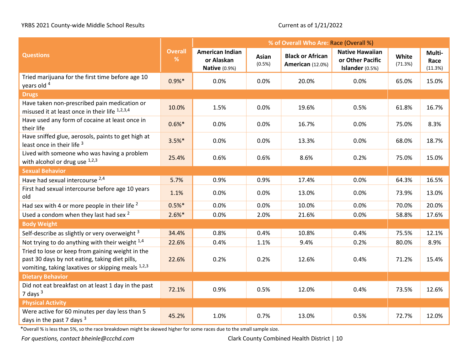|                                                                                                                                                          |                        | % of Overall Who Are: Race (Overall %)                       |                 |                                                    |                                                               |                  |                           |
|----------------------------------------------------------------------------------------------------------------------------------------------------------|------------------------|--------------------------------------------------------------|-----------------|----------------------------------------------------|---------------------------------------------------------------|------------------|---------------------------|
| <b>Questions</b>                                                                                                                                         | <b>Overall</b><br>$\%$ | <b>American Indian</b><br>or Alaskan<br><b>Native (0.9%)</b> | Asian<br>(0.5%) | <b>Black or African</b><br><b>American</b> (12.0%) | <b>Native Hawaiian</b><br>or Other Pacific<br>Islander (0.5%) | White<br>(71.3%) | Multi-<br>Race<br>(11.3%) |
| Tried marijuana for the first time before age 10<br>years old 4                                                                                          | $0.9%*$                | 0.0%                                                         | 0.0%            | 20.0%                                              | 0.0%                                                          | 65.0%            | 15.0%                     |
| <b>Drugs</b>                                                                                                                                             |                        |                                                              |                 |                                                    |                                                               |                  |                           |
| Have taken non-prescribed pain medication or<br>misused it at least once in their life <sup>1,2,3,4</sup>                                                | 10.0%                  | 1.5%                                                         | 0.0%            | 19.6%                                              | 0.5%                                                          | 61.8%            | 16.7%                     |
| Have used any form of cocaine at least once in<br>their life                                                                                             | $0.6%$ *               | 0.0%                                                         | 0.0%            | 16.7%                                              | 0.0%                                                          | 75.0%            | 8.3%                      |
| Have sniffed glue, aerosols, paints to get high at<br>least once in their life 3                                                                         | $3.5%$ *               | 0.0%                                                         | 0.0%            | 13.3%                                              | 0.0%                                                          | 68.0%            | 18.7%                     |
| Lived with someone who was having a problem<br>with alcohol or drug use $1,2,3$                                                                          | 25.4%                  | 0.6%                                                         | 0.6%            | 8.6%                                               | 0.2%                                                          | 75.0%            | 15.0%                     |
| <b>Sexual Behavior</b>                                                                                                                                   |                        |                                                              |                 |                                                    |                                                               |                  |                           |
| Have had sexual intercourse 2,4                                                                                                                          | 5.7%                   | 0.9%                                                         | 0.9%            | 17.4%                                              | 0.0%                                                          | 64.3%            | 16.5%                     |
| First had sexual intercourse before age 10 years<br>old                                                                                                  | 1.1%                   | 0.0%                                                         | 0.0%            | 13.0%                                              | 0.0%                                                          | 73.9%            | 13.0%                     |
| Had sex with 4 or more people in their life <sup>2</sup>                                                                                                 | $0.5%$ *               | 0.0%                                                         | 0.0%            | 10.0%                                              | 0.0%                                                          | 70.0%            | 20.0%                     |
| Used a condom when they last had sex <sup>2</sup>                                                                                                        | $2.6%$ *               | 0.0%                                                         | 2.0%            | 21.6%                                              | 0.0%                                                          | 58.8%            | 17.6%                     |
| <b>Body Weight</b>                                                                                                                                       |                        |                                                              |                 |                                                    |                                                               |                  |                           |
| Self-describe as slightly or very overweight 3                                                                                                           | 34.4%                  | 0.8%                                                         | 0.4%            | 10.8%                                              | 0.4%                                                          | 75.5%            | 12.1%                     |
| Not trying to do anything with their weight $^{1,4}$                                                                                                     | 22.6%                  | 0.4%                                                         | 1.1%            | 9.4%                                               | 0.2%                                                          | 80.0%            | 8.9%                      |
| Tried to lose or keep from gaining weight in the<br>past 30 days by not eating, taking diet pills,<br>vomiting, taking laxatives or skipping meals 1,2,3 | 22.6%                  | 0.2%                                                         | 0.2%            | 12.6%                                              | 0.4%                                                          | 71.2%            | 15.4%                     |
| <b>Dietary Behavior</b>                                                                                                                                  |                        |                                                              |                 |                                                    |                                                               |                  |                           |
| Did not eat breakfast on at least 1 day in the past<br>7 days $3$                                                                                        | 72.1%                  | 0.9%                                                         | 0.5%            | 12.0%                                              | 0.4%                                                          | 73.5%            | 12.6%                     |
| <b>Physical Activity</b>                                                                                                                                 |                        |                                                              |                 |                                                    |                                                               |                  |                           |
| Were active for 60 minutes per day less than 5<br>days in the past 7 days $3$                                                                            | 45.2%                  | 1.0%                                                         | 0.7%            | 13.0%                                              | 0.5%                                                          | 72.7%            | 12.0%                     |

\*Overall % is less than 5%, so the race breakdown might be skewed higher for some races due to the small sample size.

*For questions, contact bheinle@ccchd.com Clark County Combined Health District* | 10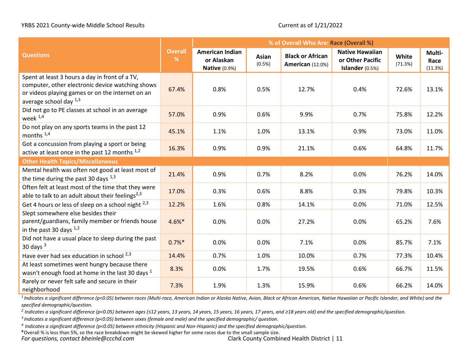|                                                                                                                                                                                       |                     | % of Overall Who Are: Race (Overall %)                       |                 |                                                    |                                                               |                         |                           |
|---------------------------------------------------------------------------------------------------------------------------------------------------------------------------------------|---------------------|--------------------------------------------------------------|-----------------|----------------------------------------------------|---------------------------------------------------------------|-------------------------|---------------------------|
| <b>Questions</b>                                                                                                                                                                      | <b>Overall</b><br>% | <b>American Indian</b><br>or Alaskan<br><b>Native (0.9%)</b> | Asian<br>(0.5%) | <b>Black or African</b><br><b>American</b> (12.0%) | <b>Native Hawaiian</b><br>or Other Pacific<br>Islander (0.5%) | <b>White</b><br>(71.3%) | Multi-<br>Race<br>(11.3%) |
| Spent at least 3 hours a day in front of a TV,<br>computer, other electronic device watching shows<br>or videos playing games or on the internet on an<br>average school day $^{1,3}$ | 67.4%               | 0.8%                                                         | 0.5%            | 12.7%                                              | 0.4%                                                          | 72.6%                   | 13.1%                     |
| Did not go to PE classes at school in an average<br>week 1,4                                                                                                                          | 57.0%               | 0.9%                                                         | 0.6%            | 9.9%                                               | 0.7%                                                          | 75.8%                   | 12.2%                     |
| Do not play on any sports teams in the past 12<br>months <sup>1,4</sup>                                                                                                               | 45.1%               | 1.1%                                                         | 1.0%            | 13.1%                                              | 0.9%                                                          | 73.0%                   | 11.0%                     |
| Got a concussion from playing a sport or being<br>active at least once in the past 12 months 1,2                                                                                      | 16.3%               | 0.9%                                                         | 0.9%            | 21.1%                                              | 0.6%                                                          | 64.8%                   | 11.7%                     |
| <b>Other Health Topics/Miscellaneous</b>                                                                                                                                              |                     |                                                              |                 |                                                    |                                                               |                         |                           |
| Mental health was often not good at least most of<br>the time during the past 30 days $^{1,3}$                                                                                        | 21.4%               | 0.9%                                                         | 0.7%            | 8.2%                                               | 0.0%                                                          | 76.2%                   | 14.0%                     |
| Often felt at least most of the time that they were<br>able to talk to an adult about their feelings <sup>2,3</sup>                                                                   | 17.0%               | 0.3%                                                         | 0.6%            | 8.8%                                               | 0.3%                                                          | 79.8%                   | 10.3%                     |
| Get 4 hours or less of sleep on a school night 2,3                                                                                                                                    | 12.2%               | 1.6%                                                         | 0.8%            | 14.1%                                              | 0.0%                                                          | 71.0%                   | 12.5%                     |
| Slept somewhere else besides their<br>parent/guardians, family member or friends house<br>in the past 30 days $1,2$                                                                   | $4.6%$ *            | 0.0%                                                         | 0.0%            | 27.2%                                              | 0.0%                                                          | 65.2%                   | 7.6%                      |
| Did not have a usual place to sleep during the past<br>30 days $3$                                                                                                                    | $0.7%$ *            | 0.0%                                                         | 0.0%            | 7.1%                                               | 0.0%                                                          | 85.7%                   | 7.1%                      |
| Have ever had sex education in school 2,3                                                                                                                                             | 14.4%               | 0.7%                                                         | 1.0%            | 10.0%                                              | 0.7%                                                          | 77.3%                   | 10.4%                     |
| At least sometimes went hungry because there<br>wasn't enough food at home in the last 30 days <sup>1</sup>                                                                           | 8.3%                | 0.0%                                                         | 1.7%            | 19.5%                                              | 0.6%                                                          | 66.7%                   | 11.5%                     |
| Rarely or never felt safe and secure in their<br>neighborhood                                                                                                                         | 7.3%                | 1.9%                                                         | 1.3%            | 15.9%                                              | 0.6%                                                          | 66.2%                   | 14.0%                     |

*1 Indicates a significant difference (p<0.05) between races (Multi-race, American Indian or Alaska Native, Asian, Black or African American, Native Hawaiian or Pacific Islander, and White) and the specified demographic/question.*

*2 Indicates a significant difference (p<0.05) between ages (≤12 years, 13 years, 14 years, 15 years, 16 years, 17 years, and ≥18 years old) and the specified demographic/question.* 

*3 Indicates a significant difference (p<0.05) between sexes (female and male) and the specified demographic/ question.*

*<sup>4</sup>Indicates a significant difference (p<0.05) between ethnicity (Hispanic and Non-Hispanic) and the specified demographic/question.*

*For questions, contact bheinle@ccchd.com* Clark County Combined Health District | 11 \*Overall % is less than 5%, so the race breakdown might be skewed higher for some races due to the small sample size.